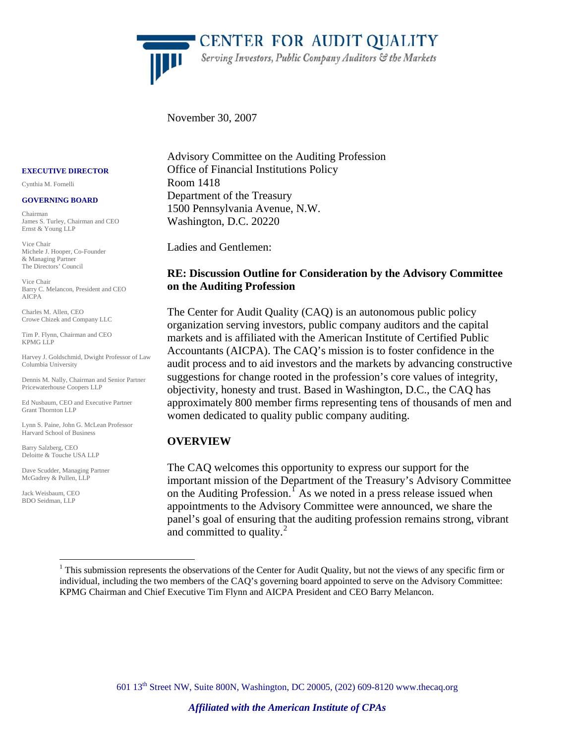

'CENTER FOR AUDIT QUALITY Serving Investors, Public Company Auditors & the Markets

November 30, 2007

#### **EXECUTIVE DIRECTOR**

Cynthia M. Fornelli

#### **GOVERNING BOARD**

Chairman James S. Turley, Chairman and CEO Ernst & Young LLP

Vice Chair Michele J. Hooper, Co-Founder & Managing Partner The Directors' Council

Vice Chair Barry C. Melancon, President and CEO AICPA

Charles M. Allen, CEO Crowe Chizek and Company LLC

Tim P. Flynn, Chairman and CEO KPMG LLP

Harvey J. Goldschmid, Dwight Professor of Law Columbia University

Dennis M. Nally, Chairman and Senior Partner Pricewaterhouse Coopers LLP

Ed Nusbaum, CEO and Executive Partner Grant Thornton LLP

Lynn S. Paine, John G. McLean Professor Harvard School of Business

Barry Salzberg, CEO Deloitte & Touche USA LLP

<u>.</u>

Dave Scudder, Managing Partner McGadrey & Pullen, LLP

<span id="page-0-1"></span>Jack Weisbaum, CEO BDO Seidman, LLP

Advisory Committee on the Auditing Profession Office of Financial Institutions Policy Room 1418 Department of the Treasury 1500 Pennsylvania Avenue, N.W. Washington, D.C. 20220

Ladies and Gentlemen:

### **RE: Discussion Outline for Consideration by the Advisory Committee on the Auditing Profession**

The Center for Audit Quality (CAQ) is an autonomous public policy organization serving investors, public company auditors and the capital markets and is affiliated with the American Institute of Certified Public Accountants (AICPA). The CAQ's mission is to foster confidence in the audit process and to aid investors and the markets by advancing constructive suggestions for change rooted in the profession's core values of integrity, objectivity, honesty and trust. Based in Washington, D.C., the CAQ has approximately 800 member firms representing tens of thousands of men and women dedicated to quality public company auditing.

### **OVERVIEW**

The CAQ welcomes this opportunity to express our support for the important mission of the Department of the Treasury's Advisory Committee on the Auditing Profession.<sup> $\int$ </sup> As we noted in a press release issued when appointments to the Advisory Committee were announced, we share the panel's goal of ensuring that the auditing profession remains strong, vibrant and committed to quality. $^{2}$  $^{2}$  $^{2}$ 

601 13th Street NW, Suite 800N, Washington, DC 20005, (202) 609-8120 www.thecaq.org

<span id="page-0-0"></span> $<sup>1</sup>$  This submission represents the observations of the Center for Audit Quality, but not the views of any specific firm or</sup> individual, including the two members of the CAQ's governing board appointed to serve on the Advisory Committee: KPMG Chairman and Chief Executive Tim Flynn and AICPA President and CEO Barry Melancon.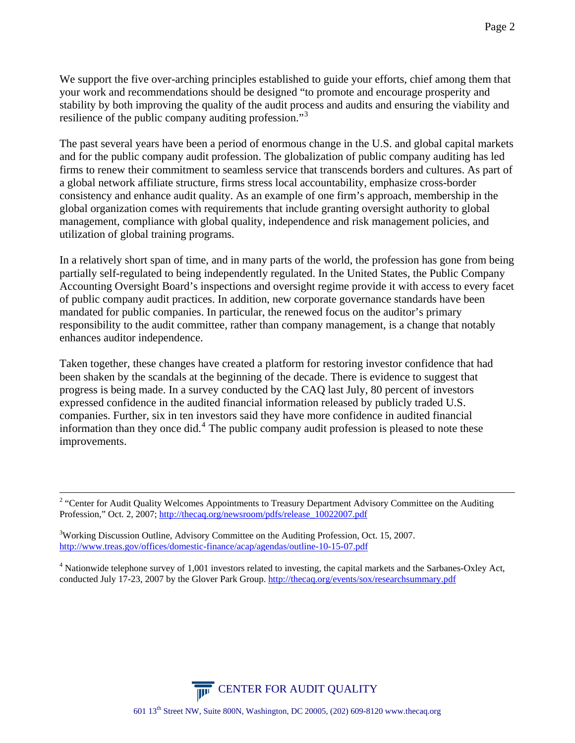We support the five over-arching principles established to guide your efforts, chief among them that your work and recommendations should be designed "to promote and encourage prosperity and stability by both improving the quality of the audit process and audits and ensuring the viability and resilience of the public company auditing profession."<sup>[3](#page-1-0)</sup>

The past several years have been a period of enormous change in the U.S. and global capital markets and for the public company audit profession. The globalization of public company auditing has led firms to renew their commitment to seamless service that transcends borders and cultures. As part of a global network affiliate structure, firms stress local accountability, emphasize cross-border consistency and enhance audit quality. As an example of one firm's approach, membership in the global organization comes with requirements that include granting oversight authority to global management, compliance with global quality, independence and risk management policies, and utilization of global training programs.

In a relatively short span of time, and in many parts of the world, the profession has gone from being partially self-regulated to being independently regulated. In the United States, the Public Company Accounting Oversight Board's inspections and oversight regime provide it with access to every facet of public company audit practices. In addition, new corporate governance standards have been mandated for public companies. In particular, the renewed focus on the auditor's primary responsibility to the audit committee, rather than company management, is a change that notably enhances auditor independence.

Taken together, these changes have created a platform for restoring investor confidence that had been shaken by the scandals at the beginning of the decade. There is evidence to suggest that progress is being made. In a survey conducted by the CAQ last July, 80 percent of investors expressed confidence in the audited financial information released by publicly traded U.S. companies. Further, six in ten investors said they have more confidence in audited financial information than they once did.<sup>[4](#page-1-1)</sup> The public company audit profession is pleased to note these improvements.



 $\frac{1}{2}$ <sup>2</sup> "Center for Audit Quality Welcomes Appointments to Treasury Department Advisory Committee on the Auditing Profession," Oct. 2, 2007; [http://thecaq.org/newsroom/pdfs/release\\_10022007.pdf](http://thecaq.org/newsroom/pdfs/release_10022007.pdf)

<span id="page-1-0"></span><sup>&</sup>lt;sup>3</sup>Working Discussion Outline, Advisory Committee on the Auditing Profession, Oct. 15, 2007. <http://www.treas.gov/offices/domestic-finance/acap/agendas/outline-10-15-07.pdf>

<span id="page-1-1"></span> $4$  Nationwide telephone survey of 1,001 investors related to investing, the capital markets and the Sarbanes-Oxley Act, conducted July 17-23, 2007 by the Glover Park Group. <http://thecaq.org/events/sox/researchsummary.pdf>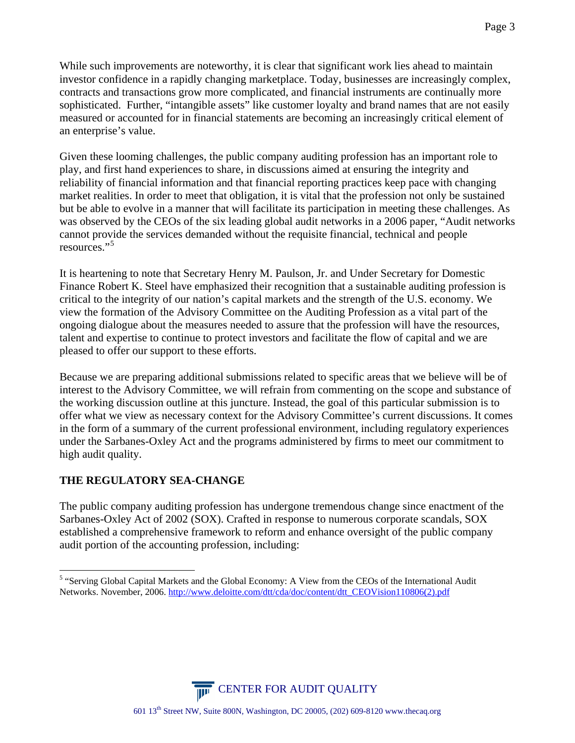While such improvements are noteworthy, it is clear that significant work lies ahead to maintain investor confidence in a rapidly changing marketplace. Today, businesses are increasingly complex, contracts and transactions grow more complicated, and financial instruments are continually more sophisticated. Further, "intangible assets" like customer loyalty and brand names that are not easily measured or accounted for in financial statements are becoming an increasingly critical element of an enterprise's value.

Given these looming challenges, the public company auditing profession has an important role to play, and first hand experiences to share, in discussions aimed at ensuring the integrity and reliability of financial information and that financial reporting practices keep pace with changing market realities. In order to meet that obligation, it is vital that the profession not only be sustained but be able to evolve in a manner that will facilitate its participation in meeting these challenges. As was observed by the CEOs of the six leading global audit networks in a 2006 paper, "Audit networks cannot provide the services demanded without the requisite financial, technical and people resources."<sup>[5](#page-2-0)</sup>

It is heartening to note that Secretary Henry M. Paulson, Jr. and Under Secretary for Domestic Finance Robert K. Steel have emphasized their recognition that a sustainable auditing profession is critical to the integrity of our nation's capital markets and the strength of the U.S. economy. We view the formation of the Advisory Committee on the Auditing Profession as a vital part of the ongoing dialogue about the measures needed to assure that the profession will have the resources, talent and expertise to continue to protect investors and facilitate the flow of capital and we are pleased to offer our support to these efforts.

Because we are preparing additional submissions related to specific areas that we believe will be of interest to the Advisory Committee, we will refrain from commenting on the scope and substance of the working discussion outline at this juncture. Instead, the goal of this particular submission is to offer what we view as necessary context for the Advisory Committee's current discussions. It comes in the form of a summary of the current professional environment, including regulatory experiences under the Sarbanes-Oxley Act and the programs administered by firms to meet our commitment to high audit quality.

# **THE REGULATORY SEA-CHANGE**

The public company auditing profession has undergone tremendous change since enactment of the Sarbanes-Oxley Act of 2002 (SOX). Crafted in response to numerous corporate scandals, SOX established a comprehensive framework to reform and enhance oversight of the public company audit portion of the accounting profession, including:



<span id="page-2-0"></span><sup>&</sup>lt;sup>5</sup> "Serving Global Capital Markets and the Global Economy: A View from the CEOs of the International Audit Networks. November, 2006. [http://www.deloitte.com/dtt/cda/doc/content/dtt\\_CEOVision110806\(2\).pdf](http://www.deloitte.com/dtt/cda/doc/content/dtt_CEOVision110806(2).pdf)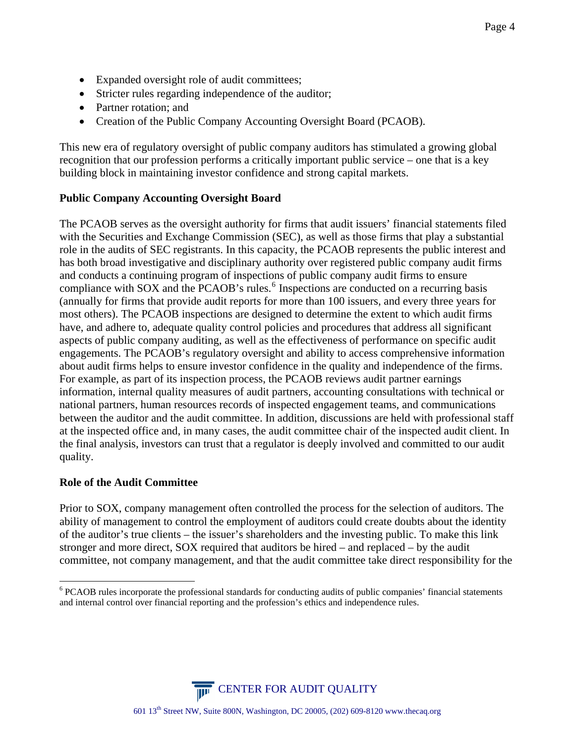- Expanded oversight role of audit committees;
- Stricter rules regarding independence of the auditor;
- Partner rotation; and
- Creation of the Public Company Accounting Oversight Board (PCAOB).

This new era of regulatory oversight of public company auditors has stimulated a growing global recognition that our profession performs a critically important public service – one that is a key building block in maintaining investor confidence and strong capital markets.

### **Public Company Accounting Oversight Board**

The PCAOB serves as the oversight authority for firms that audit issuers' financial statements filed with the Securities and Exchange Commission (SEC), as well as those firms that play a substantial role in the audits of SEC registrants. In this capacity, the PCAOB represents the public interest and has both broad investigative and disciplinary authority over registered public company audit firms and conducts a continuing program of inspections of public company audit firms to ensure compliance with SOX and the PCAOB's rules.<sup>[6](#page-3-0)</sup> Inspections are conducted on a recurring basis (annually for firms that provide audit reports for more than 100 issuers, and every three years for most others). The PCAOB inspections are designed to determine the extent to which audit firms have, and adhere to, adequate quality control policies and procedures that address all significant aspects of public company auditing, as well as the effectiveness of performance on specific audit engagements. The PCAOB's regulatory oversight and ability to access comprehensive information about audit firms helps to ensure investor confidence in the quality and independence of the firms. For example, as part of its inspection process, the PCAOB reviews audit partner earnings information, internal quality measures of audit partners, accounting consultations with technical or national partners, human resources records of inspected engagement teams, and communications between the auditor and the audit committee. In addition, discussions are held with professional staff at the inspected office and, in many cases, the audit committee chair of the inspected audit client. In the final analysis, investors can trust that a regulator is deeply involved and committed to our audit quality.

### **Role of the Audit Committee**

1

Prior to SOX, company management often controlled the process for the selection of auditors. The ability of management to control the employment of auditors could create doubts about the identity of the auditor's true clients – the issuer's shareholders and the investing public. To make this link stronger and more direct, SOX required that auditors be hired – and replaced – by the audit committee, not company management, and that the audit committee take direct responsibility for the

**CENTER FOR AUDIT QUALITY** 

<span id="page-3-0"></span><sup>&</sup>lt;sup>6</sup> PCAOB rules incorporate the professional standards for conducting audits of public companies' financial statements and internal control over financial reporting and the profession's ethics and independence rules.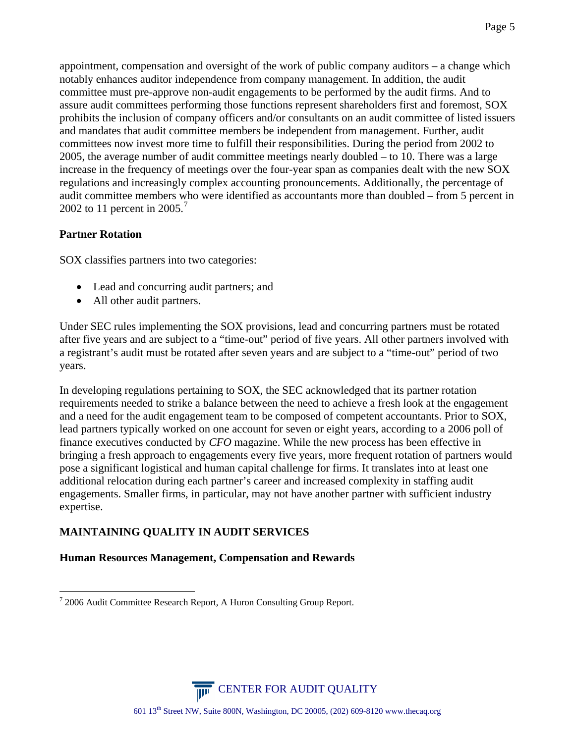appointment, compensation and oversight of the work of public company auditors – a change which notably enhances auditor independence from company management. In addition, the audit committee must pre-approve non-audit engagements to be performed by the audit firms. And to assure audit committees performing those functions represent shareholders first and foremost, SOX prohibits the inclusion of company officers and/or consultants on an audit committee of listed issuers and mandates that audit committee members be independent from management. Further, audit committees now invest more time to fulfill their responsibilities. During the period from 2002 to 2005, the average number of audit committee meetings nearly doubled – to 10. There was a large increase in the frequency of meetings over the four-year span as companies dealt with the new SOX regulations and increasingly complex accounting pronouncements. Additionally, the percentage of audit committee members who were identified as accountants more than doubled – from 5 percent in 2002 to 11 percent in 2005. $\frac{7}{2}$  $\frac{7}{2}$  $\frac{7}{2}$ 

# **Partner Rotation**

SOX classifies partners into two categories:

- Lead and concurring audit partners; and
- All other audit partners.

Under SEC rules implementing the SOX provisions, lead and concurring partners must be rotated after five years and are subject to a "time-out" period of five years. All other partners involved with a registrant's audit must be rotated after seven years and are subject to a "time-out" period of two years.

In developing regulations pertaining to SOX, the SEC acknowledged that its partner rotation requirements needed to strike a balance between the need to achieve a fresh look at the engagement and a need for the audit engagement team to be composed of competent accountants. Prior to SOX, lead partners typically worked on one account for seven or eight years, according to a 2006 poll of finance executives conducted by *CFO* magazine. While the new process has been effective in bringing a fresh approach to engagements every five years, more frequent rotation of partners would pose a significant logistical and human capital challenge for firms. It translates into at least one additional relocation during each partner's career and increased complexity in staffing audit engagements. Smaller firms, in particular, may not have another partner with sufficient industry expertise.

# **MAINTAINING QUALITY IN AUDIT SERVICES**

# **Human Resources Management, Compensation and Rewards**



<span id="page-4-0"></span><sup>&</sup>lt;u>.</u>  $72006$  Audit Committee Research Report, A Huron Consulting Group Report.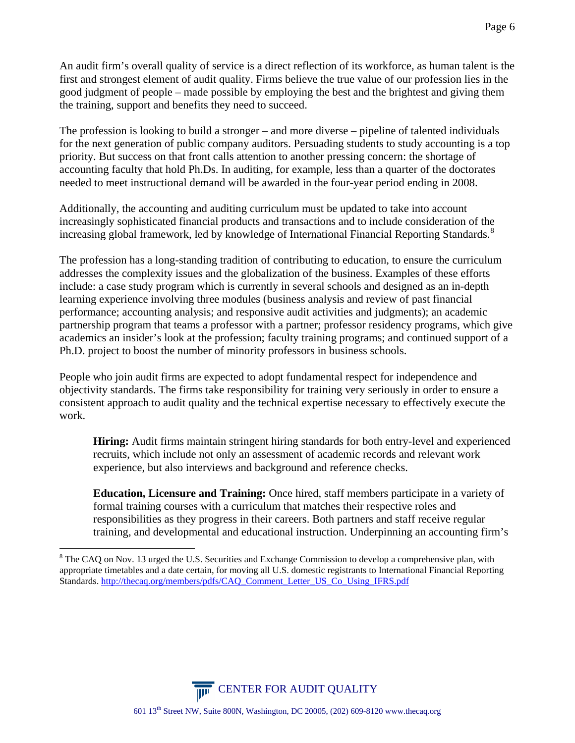An audit firm's overall quality of service is a direct reflection of its workforce, as human talent is the first and strongest element of audit quality. Firms believe the true value of our profession lies in the good judgment of people – made possible by employing the best and the brightest and giving them the training, support and benefits they need to succeed.

The profession is looking to build a stronger – and more diverse – pipeline of talented individuals for the next generation of public company auditors. Persuading students to study accounting is a top priority. But success on that front calls attention to another pressing concern: the shortage of accounting faculty that hold Ph.Ds. In auditing, for example, less than a quarter of the doctorates needed to meet instructional demand will be awarded in the four-year period ending in 2008.

Additionally, the accounting and auditing curriculum must be updated to take into account increasingly sophisticated financial products and transactions and to include consideration of the increasing global framework, led by knowledge of International Financial Reporting Standards.<sup>[8](#page-5-0)</sup>

The profession has a long-standing tradition of contributing to education, to ensure the curriculum addresses the complexity issues and the globalization of the business. Examples of these efforts include: a case study program which is currently in several schools and designed as an in-depth learning experience involving three modules (business analysis and review of past financial performance; accounting analysis; and responsive audit activities and judgments); an academic partnership program that teams a professor with a partner; professor residency programs, which give academics an insider's look at the profession; faculty training programs; and continued support of a Ph.D. project to boost the number of minority professors in business schools.

People who join audit firms are expected to adopt fundamental respect for independence and objectivity standards. The firms take responsibility for training very seriously in order to ensure a consistent approach to audit quality and the technical expertise necessary to effectively execute the work.

**Hiring:** Audit firms maintain stringent hiring standards for both entry-level and experienced recruits, which include not only an assessment of academic records and relevant work experience, but also interviews and background and reference checks.

**Education, Licensure and Training:** Once hired, staff members participate in a variety of formal training courses with a curriculum that matches their respective roles and responsibilities as they progress in their careers. Both partners and staff receive regular training, and developmental and educational instruction. Underpinning an accounting firm's

1



<span id="page-5-0"></span><sup>&</sup>lt;sup>8</sup> The CAQ on Nov. 13 urged the U.S. Securities and Exchange Commission to develop a comprehensive plan, with appropriate timetables and a date certain, for moving all U.S. domestic registrants to International Financial Reporting Standards. [http://thecaq.org/members/pdfs/CAQ\\_Comment\\_Letter\\_US\\_Co\\_Using\\_IFRS.pdf](http://thecaq.org/members/pdfs/CAQ_Comment_Letter_US_Co_Using_IFRS.pdf)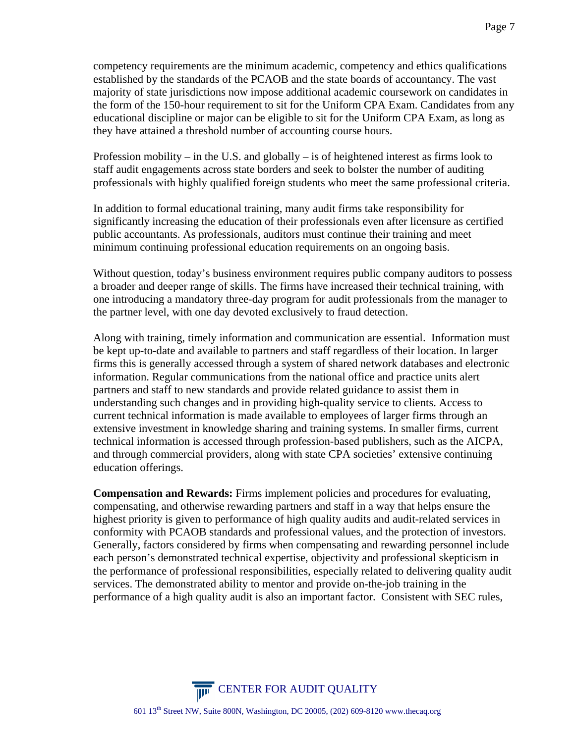competency requirements are the minimum academic, competency and ethics qualifications established by the standards of the PCAOB and the state boards of accountancy. The vast majority of state jurisdictions now impose additional academic coursework on candidates in the form of the 150-hour requirement to sit for the Uniform CPA Exam. Candidates from any educational discipline or major can be eligible to sit for the Uniform CPA Exam, as long as they have attained a threshold number of accounting course hours.

Profession mobility – in the U.S. and globally – is of heightened interest as firms look to staff audit engagements across state borders and seek to bolster the number of auditing professionals with highly qualified foreign students who meet the same professional criteria.

In addition to formal educational training, many audit firms take responsibility for significantly increasing the education of their professionals even after licensure as certified public accountants. As professionals, auditors must continue their training and meet minimum continuing professional education requirements on an ongoing basis.

Without question, today's business environment requires public company auditors to possess a broader and deeper range of skills. The firms have increased their technical training, with one introducing a mandatory three-day program for audit professionals from the manager to the partner level, with one day devoted exclusively to fraud detection.

Along with training, timely information and communication are essential. Information must be kept up-to-date and available to partners and staff regardless of their location. In larger firms this is generally accessed through a system of shared network databases and electronic information. Regular communications from the national office and practice units alert partners and staff to new standards and provide related guidance to assist them in understanding such changes and in providing high-quality service to clients. Access to current technical information is made available to employees of larger firms through an extensive investment in knowledge sharing and training systems. In smaller firms, current technical information is accessed through profession-based publishers, such as the AICPA, and through commercial providers, along with state CPA societies' extensive continuing education offerings.

**Compensation and Rewards:** Firms implement policies and procedures for evaluating, compensating, and otherwise rewarding partners and staff in a way that helps ensure the highest priority is given to performance of high quality audits and audit-related services in conformity with PCAOB standards and professional values, and the protection of investors. Generally, factors considered by firms when compensating and rewarding personnel include each person's demonstrated technical expertise, objectivity and professional skepticism in the performance of professional responsibilities, especially related to delivering quality audit services. The demonstrated ability to mentor and provide on-the-job training in the performance of a high quality audit is also an important factor. Consistent with SEC rules,

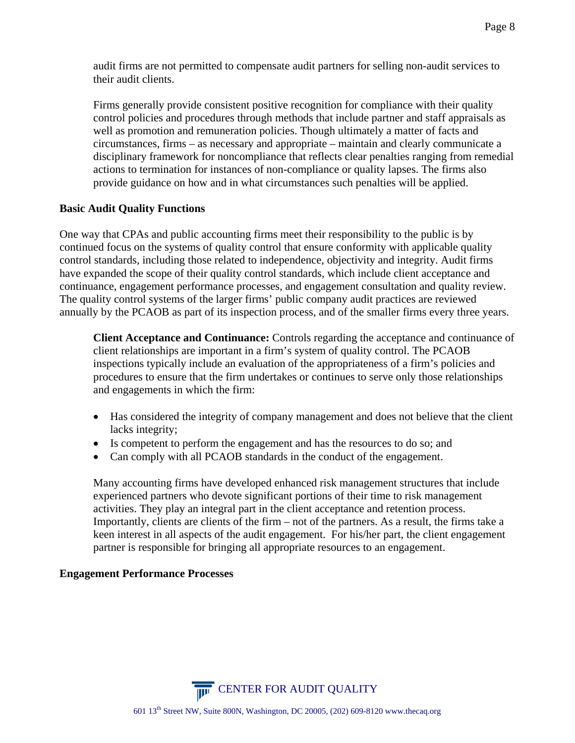Firms generally provide consistent positive recognition for compliance with their quality control policies and procedures through methods that include partner and staff appraisals as well as promotion and remuneration policies. Though ultimately a matter of facts and circumstances, firms – as necessary and appropriate – maintain and clearly communicate a disciplinary framework for noncompliance that reflects clear penalties ranging from remedial actions to termination for instances of non-compliance or quality lapses. The firms also provide guidance on how and in what circumstances such penalties will be applied.

# **Basic Audit Quality Functions**

One way that CPAs and public accounting firms meet their responsibility to the public is by continued focus on the systems of quality control that ensure conformity with applicable quality control standards, including those related to independence, objectivity and integrity. Audit firms have expanded the scope of their quality control standards, which include client acceptance and continuance, engagement performance processes, and engagement consultation and quality review. The quality control systems of the larger firms' public company audit practices are reviewed annually by the PCAOB as part of its inspection process, and of the smaller firms every three years.

**Client Acceptance and Continuance:** Controls regarding the acceptance and continuance of client relationships are important in a firm's system of quality control. The PCAOB inspections typically include an evaluation of the appropriateness of a firm's policies and procedures to ensure that the firm undertakes or continues to serve only those relationships and engagements in which the firm:

- Has considered the integrity of company management and does not believe that the client lacks integrity;
- Is competent to perform the engagement and has the resources to do so; and
- Can comply with all PCAOB standards in the conduct of the engagement.

Many accounting firms have developed enhanced risk management structures that include experienced partners who devote significant portions of their time to risk management activities. They play an integral part in the client acceptance and retention process. Importantly, clients are clients of the firm – not of the partners. As a result, the firms take a keen interest in all aspects of the audit engagement. For his/her part, the client engagement partner is responsible for bringing all appropriate resources to an engagement.

# **Engagement Performance Processes**

**CENTER FOR AUDIT QUALITY**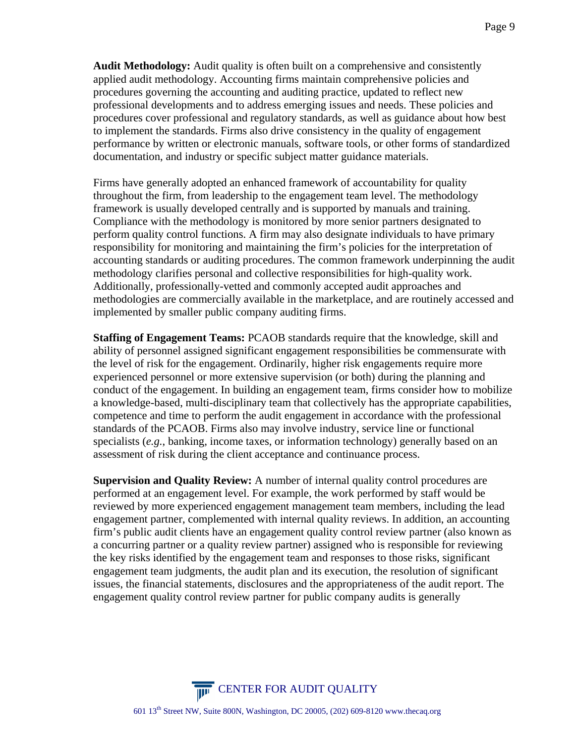**Audit Methodology:** Audit quality is often built on a comprehensive and consistently applied audit methodology. Accounting firms maintain comprehensive policies and procedures governing the accounting and auditing practice, updated to reflect new professional developments and to address emerging issues and needs. These policies and procedures cover professional and regulatory standards, as well as guidance about how best to implement the standards. Firms also drive consistency in the quality of engagement performance by written or electronic manuals, software tools, or other forms of standardized documentation, and industry or specific subject matter guidance materials.

Firms have generally adopted an enhanced framework of accountability for quality throughout the firm, from leadership to the engagement team level. The methodology framework is usually developed centrally and is supported by manuals and training. Compliance with the methodology is monitored by more senior partners designated to perform quality control functions. A firm may also designate individuals to have primary responsibility for monitoring and maintaining the firm's policies for the interpretation of accounting standards or auditing procedures. The common framework underpinning the audit methodology clarifies personal and collective responsibilities for high-quality work. Additionally, professionally-vetted and commonly accepted audit approaches and methodologies are commercially available in the marketplace, and are routinely accessed and implemented by smaller public company auditing firms.

**Staffing of Engagement Teams:** PCAOB standards require that the knowledge, skill and ability of personnel assigned significant engagement responsibilities be commensurate with the level of risk for the engagement. Ordinarily, higher risk engagements require more experienced personnel or more extensive supervision (or both) during the planning and conduct of the engagement. In building an engagement team, firms consider how to mobilize a knowledge-based, multi-disciplinary team that collectively has the appropriate capabilities, competence and time to perform the audit engagement in accordance with the professional standards of the PCAOB. Firms also may involve industry, service line or functional specialists (*e.g.*, banking, income taxes, or information technology) generally based on an assessment of risk during the client acceptance and continuance process.

**Supervision and Quality Review:** A number of internal quality control procedures are performed at an engagement level. For example, the work performed by staff would be reviewed by more experienced engagement management team members, including the lead engagement partner, complemented with internal quality reviews. In addition, an accounting firm's public audit clients have an engagement quality control review partner (also known as a concurring partner or a quality review partner) assigned who is responsible for reviewing the key risks identified by the engagement team and responses to those risks, significant engagement team judgments, the audit plan and its execution, the resolution of significant issues, the financial statements, disclosures and the appropriateness of the audit report. The engagement quality control review partner for public company audits is generally

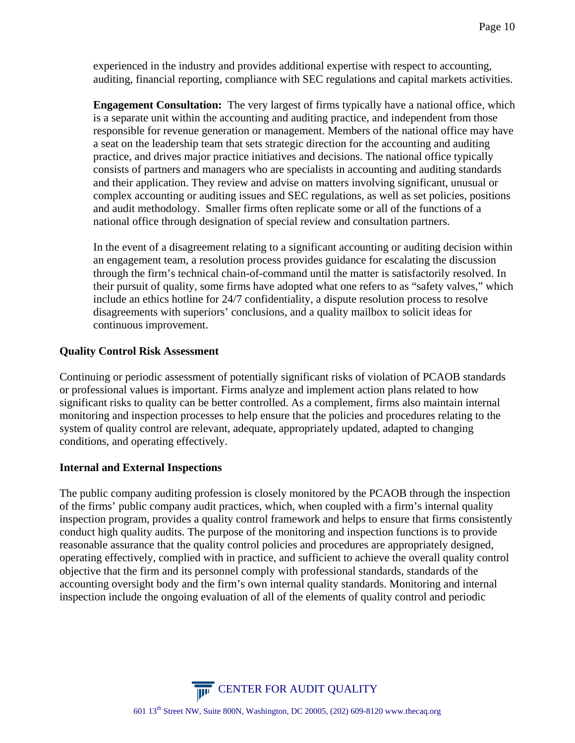experienced in the industry and provides additional expertise with respect to accounting, auditing, financial reporting, compliance with SEC regulations and capital markets activities.

**Engagement Consultation:** The very largest of firms typically have a national office, which is a separate unit within the accounting and auditing practice, and independent from those responsible for revenue generation or management. Members of the national office may have a seat on the leadership team that sets strategic direction for the accounting and auditing practice, and drives major practice initiatives and decisions. The national office typically consists of partners and managers who are specialists in accounting and auditing standards and their application. They review and advise on matters involving significant, unusual or complex accounting or auditing issues and SEC regulations, as well as set policies, positions and audit methodology. Smaller firms often replicate some or all of the functions of a national office through designation of special review and consultation partners.

In the event of a disagreement relating to a significant accounting or auditing decision within an engagement team, a resolution process provides guidance for escalating the discussion through the firm's technical chain-of-command until the matter is satisfactorily resolved. In their pursuit of quality, some firms have adopted what one refers to as "safety valves," which include an ethics hotline for 24/7 confidentiality, a dispute resolution process to resolve disagreements with superiors' conclusions, and a quality mailbox to solicit ideas for continuous improvement.

### **Quality Control Risk Assessment**

Continuing or periodic assessment of potentially significant risks of violation of PCAOB standards or professional values is important. Firms analyze and implement action plans related to how significant risks to quality can be better controlled. As a complement, firms also maintain internal monitoring and inspection processes to help ensure that the policies and procedures relating to the system of quality control are relevant, adequate, appropriately updated, adapted to changing conditions, and operating effectively.

### **Internal and External Inspections**

The public company auditing profession is closely monitored by the PCAOB through the inspection of the firms' public company audit practices, which, when coupled with a firm's internal quality inspection program, provides a quality control framework and helps to ensure that firms consistently conduct high quality audits. The purpose of the monitoring and inspection functions is to provide reasonable assurance that the quality control policies and procedures are appropriately designed, operating effectively, complied with in practice, and sufficient to achieve the overall quality control objective that the firm and its personnel comply with professional standards, standards of the accounting oversight body and the firm's own internal quality standards. Monitoring and internal inspection include the ongoing evaluation of all of the elements of quality control and periodic

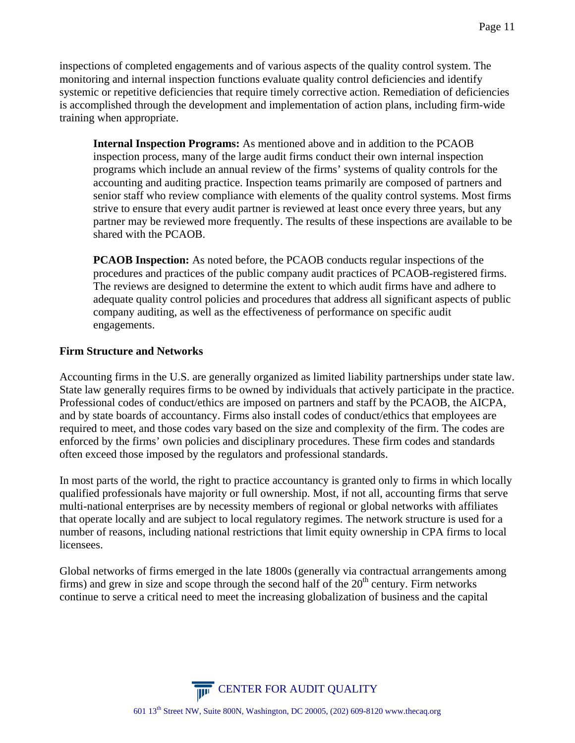inspections of completed engagements and of various aspects of the quality control system. The monitoring and internal inspection functions evaluate quality control deficiencies and identify systemic or repetitive deficiencies that require timely corrective action. Remediation of deficiencies is accomplished through the development and implementation of action plans, including firm-wide training when appropriate.

**Internal Inspection Programs:** As mentioned above and in addition to the PCAOB inspection process, many of the large audit firms conduct their own internal inspection programs which include an annual review of the firms' systems of quality controls for the accounting and auditing practice. Inspection teams primarily are composed of partners and senior staff who review compliance with elements of the quality control systems. Most firms strive to ensure that every audit partner is reviewed at least once every three years, but any partner may be reviewed more frequently. The results of these inspections are available to be shared with the PCAOB.

**PCAOB Inspection:** As noted before, the PCAOB conducts regular inspections of the procedures and practices of the public company audit practices of PCAOB-registered firms. The reviews are designed to determine the extent to which audit firms have and adhere to adequate quality control policies and procedures that address all significant aspects of public company auditing, as well as the effectiveness of performance on specific audit engagements.

### **Firm Structure and Networks**

Accounting firms in the U.S. are generally organized as limited liability partnerships under state law. State law generally requires firms to be owned by individuals that actively participate in the practice. Professional codes of conduct/ethics are imposed on partners and staff by the PCAOB, the AICPA, and by state boards of accountancy. Firms also install codes of conduct/ethics that employees are required to meet, and those codes vary based on the size and complexity of the firm. The codes are enforced by the firms' own policies and disciplinary procedures. These firm codes and standards often exceed those imposed by the regulators and professional standards.

In most parts of the world, the right to practice accountancy is granted only to firms in which locally qualified professionals have majority or full ownership. Most, if not all, accounting firms that serve multi-national enterprises are by necessity members of regional or global networks with affiliates that operate locally and are subject to local regulatory regimes. The network structure is used for a number of reasons, including national restrictions that limit equity ownership in CPA firms to local licensees.

Global networks of firms emerged in the late 1800s (generally via contractual arrangements among firms) and grew in size and scope through the second half of the  $20<sup>th</sup>$  century. Firm networks continue to serve a critical need to meet the increasing globalization of business and the capital

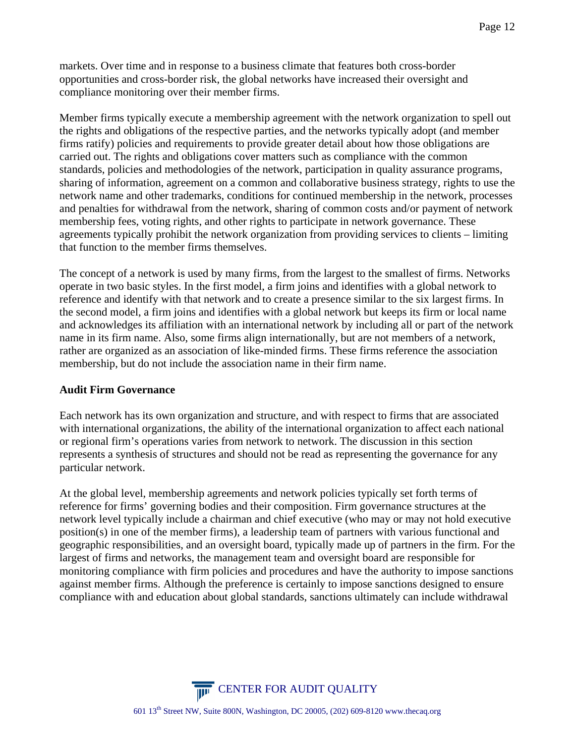markets. Over time and in response to a business climate that features both cross-border opportunities and cross-border risk, the global networks have increased their oversight and compliance monitoring over their member firms.

Member firms typically execute a membership agreement with the network organization to spell out the rights and obligations of the respective parties, and the networks typically adopt (and member firms ratify) policies and requirements to provide greater detail about how those obligations are carried out. The rights and obligations cover matters such as compliance with the common standards, policies and methodologies of the network, participation in quality assurance programs, sharing of information, agreement on a common and collaborative business strategy, rights to use the network name and other trademarks, conditions for continued membership in the network, processes and penalties for withdrawal from the network, sharing of common costs and/or payment of network membership fees, voting rights, and other rights to participate in network governance. These agreements typically prohibit the network organization from providing services to clients – limiting that function to the member firms themselves.

The concept of a network is used by many firms, from the largest to the smallest of firms. Networks operate in two basic styles. In the first model, a firm joins and identifies with a global network to reference and identify with that network and to create a presence similar to the six largest firms. In the second model, a firm joins and identifies with a global network but keeps its firm or local name and acknowledges its affiliation with an international network by including all or part of the network name in its firm name. Also, some firms align internationally, but are not members of a network, rather are organized as an association of like-minded firms. These firms reference the association membership, but do not include the association name in their firm name.

### **Audit Firm Governance**

Each network has its own organization and structure, and with respect to firms that are associated with international organizations, the ability of the international organization to affect each national or regional firm's operations varies from network to network. The discussion in this section represents a synthesis of structures and should not be read as representing the governance for any particular network.

At the global level, membership agreements and network policies typically set forth terms of reference for firms' governing bodies and their composition. Firm governance structures at the network level typically include a chairman and chief executive (who may or may not hold executive position(s) in one of the member firms), a leadership team of partners with various functional and geographic responsibilities, and an oversight board, typically made up of partners in the firm. For the largest of firms and networks, the management team and oversight board are responsible for monitoring compliance with firm policies and procedures and have the authority to impose sanctions against member firms. Although the preference is certainly to impose sanctions designed to ensure compliance with and education about global standards, sanctions ultimately can include withdrawal

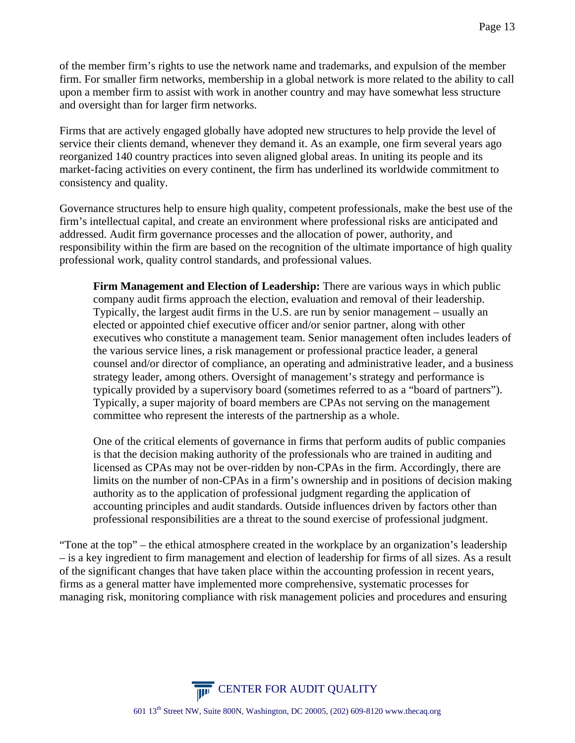of the member firm's rights to use the network name and trademarks, and expulsion of the member firm. For smaller firm networks, membership in a global network is more related to the ability to call upon a member firm to assist with work in another country and may have somewhat less structure and oversight than for larger firm networks.

Firms that are actively engaged globally have adopted new structures to help provide the level of service their clients demand, whenever they demand it. As an example, one firm several years ago reorganized 140 country practices into seven aligned global areas. In uniting its people and its market-facing activities on every continent, the firm has underlined its worldwide commitment to consistency and quality.

Governance structures help to ensure high quality, competent professionals, make the best use of the firm's intellectual capital, and create an environment where professional risks are anticipated and addressed. Audit firm governance processes and the allocation of power, authority, and responsibility within the firm are based on the recognition of the ultimate importance of high quality professional work, quality control standards, and professional values.

**Firm Management and Election of Leadership:** There are various ways in which public company audit firms approach the election, evaluation and removal of their leadership. Typically, the largest audit firms in the U.S. are run by senior management – usually an elected or appointed chief executive officer and/or senior partner, along with other executives who constitute a management team. Senior management often includes leaders of the various service lines, a risk management or professional practice leader, a general counsel and/or director of compliance, an operating and administrative leader, and a business strategy leader, among others. Oversight of management's strategy and performance is typically provided by a supervisory board (sometimes referred to as a "board of partners"). Typically, a super majority of board members are CPAs not serving on the management committee who represent the interests of the partnership as a whole.

One of the critical elements of governance in firms that perform audits of public companies is that the decision making authority of the professionals who are trained in auditing and licensed as CPAs may not be over-ridden by non-CPAs in the firm. Accordingly, there are limits on the number of non-CPAs in a firm's ownership and in positions of decision making authority as to the application of professional judgment regarding the application of accounting principles and audit standards. Outside influences driven by factors other than professional responsibilities are a threat to the sound exercise of professional judgment.

"Tone at the top" – the ethical atmosphere created in the workplace by an organization's leadership – is a key ingredient to firm management and election of leadership for firms of all sizes. As a result of the significant changes that have taken place within the accounting profession in recent years, firms as a general matter have implemented more comprehensive, systematic processes for managing risk, monitoring compliance with risk management policies and procedures and ensuring

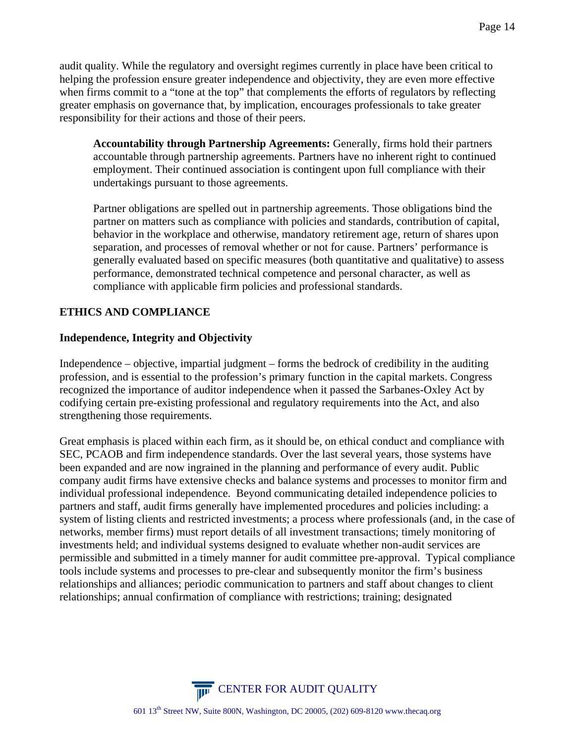audit quality. While the regulatory and oversight regimes currently in place have been critical to helping the profession ensure greater independence and objectivity, they are even more effective when firms commit to a "tone at the top" that complements the efforts of regulators by reflecting greater emphasis on governance that, by implication, encourages professionals to take greater responsibility for their actions and those of their peers.

**Accountability through Partnership Agreements:** Generally, firms hold their partners accountable through partnership agreements. Partners have no inherent right to continued employment. Their continued association is contingent upon full compliance with their undertakings pursuant to those agreements.

Partner obligations are spelled out in partnership agreements. Those obligations bind the partner on matters such as compliance with policies and standards, contribution of capital, behavior in the workplace and otherwise, mandatory retirement age, return of shares upon separation, and processes of removal whether or not for cause. Partners' performance is generally evaluated based on specific measures (both quantitative and qualitative) to assess performance, demonstrated technical competence and personal character, as well as compliance with applicable firm policies and professional standards.

### **ETHICS AND COMPLIANCE**

### **Independence, Integrity and Objectivity**

Independence – objective, impartial judgment – forms the bedrock of credibility in the auditing profession, and is essential to the profession's primary function in the capital markets. Congress recognized the importance of auditor independence when it passed the Sarbanes-Oxley Act by codifying certain pre-existing professional and regulatory requirements into the Act, and also strengthening those requirements.

Great emphasis is placed within each firm, as it should be, on ethical conduct and compliance with SEC, PCAOB and firm independence standards. Over the last several years, those systems have been expanded and are now ingrained in the planning and performance of every audit. Public company audit firms have extensive checks and balance systems and processes to monitor firm and individual professional independence. Beyond communicating detailed independence policies to partners and staff, audit firms generally have implemented procedures and policies including: a system of listing clients and restricted investments; a process where professionals (and, in the case of networks, member firms) must report details of all investment transactions; timely monitoring of investments held; and individual systems designed to evaluate whether non-audit services are permissible and submitted in a timely manner for audit committee pre-approval. Typical compliance tools include systems and processes to pre-clear and subsequently monitor the firm's business relationships and alliances; periodic communication to partners and staff about changes to client relationships; annual confirmation of compliance with restrictions; training; designated

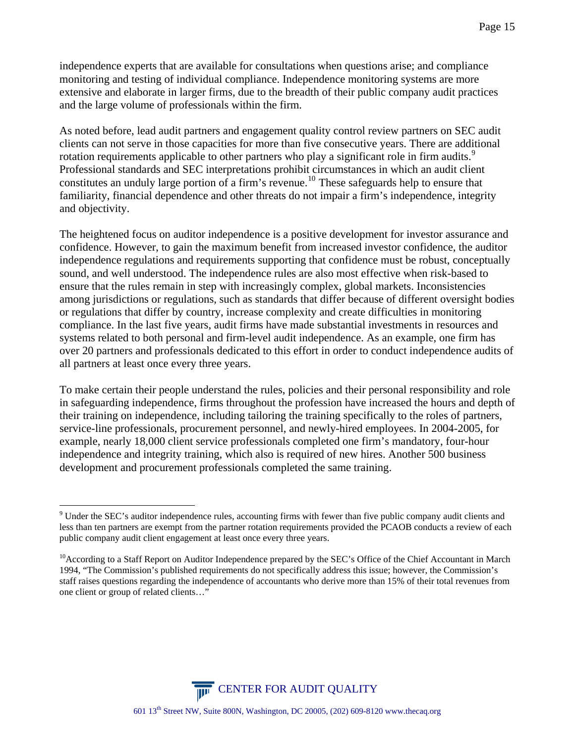independence experts that are available for consultations when questions arise; and compliance monitoring and testing of individual compliance. Independence monitoring systems are more extensive and elaborate in larger firms, due to the breadth of their public company audit practices and the large volume of professionals within the firm.

As noted before, lead audit partners and engagement quality control review partners on SEC audit clients can not serve in those capacities for more than five consecutive years. There are additional rotation requirements applicable to other partners who play a significant role in firm audits.<sup>[9](#page-14-0)</sup> Professional standards and SEC interpretations prohibit circumstances in which an audit client constitutes an unduly large portion of a firm's revenue.<sup>[10](#page-14-1)</sup> These safeguards help to ensure that familiarity, financial dependence and other threats do not impair a firm's independence, integrity and objectivity.

The heightened focus on auditor independence is a positive development for investor assurance and confidence. However, to gain the maximum benefit from increased investor confidence, the auditor independence regulations and requirements supporting that confidence must be robust, conceptually sound, and well understood. The independence rules are also most effective when risk-based to ensure that the rules remain in step with increasingly complex, global markets. Inconsistencies among jurisdictions or regulations, such as standards that differ because of different oversight bodies or regulations that differ by country, increase complexity and create difficulties in monitoring compliance. In the last five years, audit firms have made substantial investments in resources and systems related to both personal and firm-level audit independence. As an example, one firm has over 20 partners and professionals dedicated to this effort in order to conduct independence audits of all partners at least once every three years.

To make certain their people understand the rules, policies and their personal responsibility and role in safeguarding independence, firms throughout the profession have increased the hours and depth of their training on independence, including tailoring the training specifically to the roles of partners, service-line professionals, procurement personnel, and newly-hired employees. In 2004-2005, for example, nearly 18,000 client service professionals completed one firm's mandatory, four-hour independence and integrity training, which also is required of new hires. Another 500 business development and procurement professionals completed the same training.

1



<span id="page-14-0"></span><sup>&</sup>lt;sup>9</sup> Under the SEC's auditor independence rules, accounting firms with fewer than five public company audit clients and less than ten partners are exempt from the partner rotation requirements provided the PCAOB conducts a review of each public company audit client engagement at least once every three years.

<span id="page-14-1"></span><sup>&</sup>lt;sup>10</sup>According to a Staff Report on Auditor Independence prepared by the SEC's Office of the Chief Accountant in March 1994, "The Commission's published requirements do not specifically address this issue; however, the Commission's staff raises questions regarding the independence of accountants who derive more than 15% of their total revenues from one client or group of related clients…"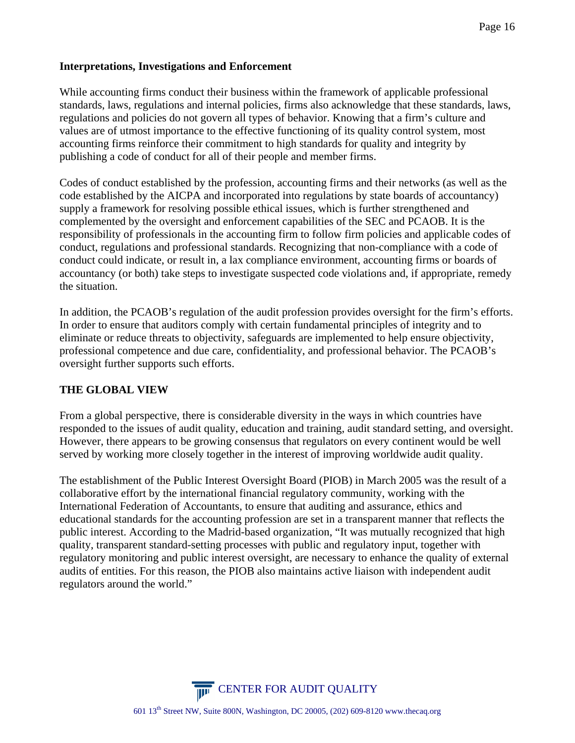### **Interpretations, Investigations and Enforcement**

While accounting firms conduct their business within the framework of applicable professional standards, laws, regulations and internal policies, firms also acknowledge that these standards, laws, regulations and policies do not govern all types of behavior. Knowing that a firm's culture and values are of utmost importance to the effective functioning of its quality control system, most accounting firms reinforce their commitment to high standards for quality and integrity by publishing a code of conduct for all of their people and member firms.

Codes of conduct established by the profession, accounting firms and their networks (as well as the code established by the AICPA and incorporated into regulations by state boards of accountancy) supply a framework for resolving possible ethical issues, which is further strengthened and complemented by the oversight and enforcement capabilities of the SEC and PCAOB. It is the responsibility of professionals in the accounting firm to follow firm policies and applicable codes of conduct, regulations and professional standards. Recognizing that non-compliance with a code of conduct could indicate, or result in, a lax compliance environment, accounting firms or boards of accountancy (or both) take steps to investigate suspected code violations and, if appropriate, remedy the situation.

In addition, the PCAOB's regulation of the audit profession provides oversight for the firm's efforts. In order to ensure that auditors comply with certain fundamental principles of integrity and to eliminate or reduce threats to objectivity, safeguards are implemented to help ensure objectivity, professional competence and due care, confidentiality, and professional behavior. The PCAOB's oversight further supports such efforts.

### **THE GLOBAL VIEW**

From a global perspective, there is considerable diversity in the ways in which countries have responded to the issues of audit quality, education and training, audit standard setting, and oversight. However, there appears to be growing consensus that regulators on every continent would be well served by working more closely together in the interest of improving worldwide audit quality.

The establishment of the Public Interest Oversight Board (PIOB) in March 2005 was the result of a collaborative effort by the international financial regulatory community, working with the International Federation of Accountants, to ensure that auditing and assurance, ethics and educational standards for the accounting profession are set in a transparent manner that reflects the public interest. According to the Madrid-based organization, "It was mutually recognized that high quality, transparent standard-setting processes with public and regulatory input, together with regulatory monitoring and public interest oversight, are necessary to enhance the quality of external audits of entities. For this reason, the PIOB also maintains active liaison with independent audit regulators around the world."